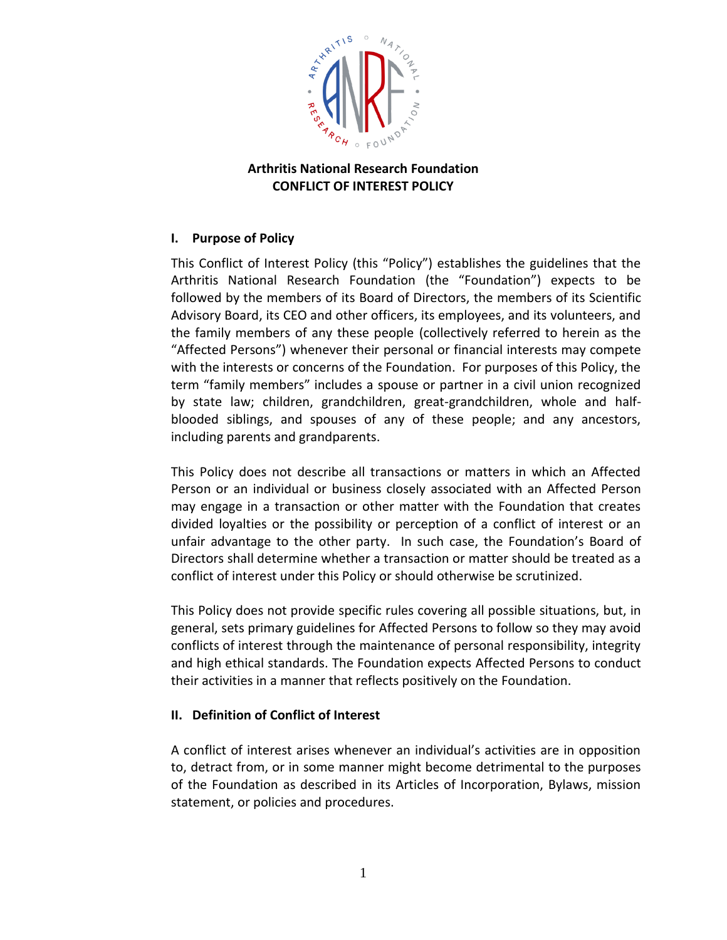

## **Arthritis National Research Foundation CONFLICT OF INTEREST POLICY**

# **I. Purpose of Policy**

This Conflict of Interest Policy (this "Policy") establishes the guidelines that the Arthritis National Research Foundation (the "Foundation") expects to be followed by the members of its Board of Directors, the members of its Scientific Advisory Board, its CEO and other officers, its employees, and its volunteers, and the family members of any these people (collectively referred to herein as the "Affected Persons") whenever their personal or financial interests may compete with the interests or concerns of the Foundation. For purposes of this Policy, the term "family members" includes a spouse or partner in a civil union recognized by state law; children, grandchildren, great-grandchildren, whole and halfblooded siblings, and spouses of any of these people; and any ancestors, including parents and grandparents.

This Policy does not describe all transactions or matters in which an Affected Person or an individual or business closely associated with an Affected Person may engage in a transaction or other matter with the Foundation that creates divided loyalties or the possibility or perception of a conflict of interest or an unfair advantage to the other party. In such case, the Foundation's Board of Directors shall determine whether a transaction or matter should be treated as a conflict of interest under this Policy or should otherwise be scrutinized.

This Policy does not provide specific rules covering all possible situations, but, in general, sets primary guidelines for Affected Persons to follow so they may avoid conflicts of interest through the maintenance of personal responsibility, integrity and high ethical standards. The Foundation expects Affected Persons to conduct their activities in a manner that reflects positively on the Foundation.

### **II. Definition of Conflict of Interest**

A conflict of interest arises whenever an individual's activities are in opposition to, detract from, or in some manner might become detrimental to the purposes of the Foundation as described in its Articles of Incorporation, Bylaws, mission statement, or policies and procedures.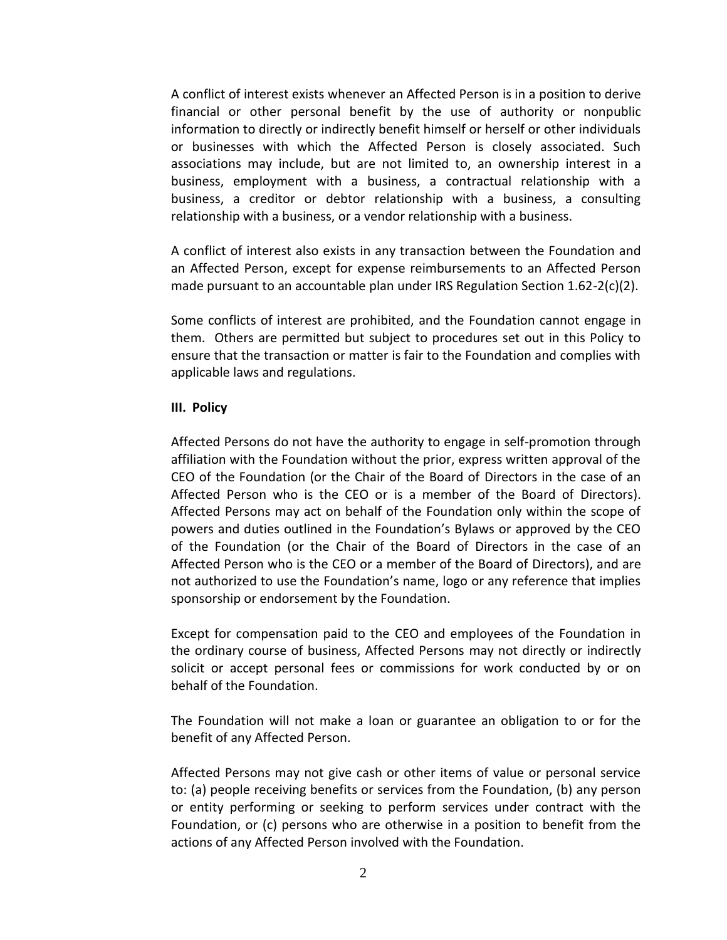A conflict of interest exists whenever an Affected Person is in a position to derive financial or other personal benefit by the use of authority or nonpublic information to directly or indirectly benefit himself or herself or other individuals or businesses with which the Affected Person is closely associated. Such associations may include, but are not limited to, an ownership interest in a business, employment with a business, a contractual relationship with a business, a creditor or debtor relationship with a business, a consulting relationship with a business, or a vendor relationship with a business.

A conflict of interest also exists in any transaction between the Foundation and an Affected Person, except for expense reimbursements to an Affected Person made pursuant to an accountable plan under IRS Regulation Section  $1.62-2(c)(2)$ .

Some conflicts of interest are prohibited, and the Foundation cannot engage in them. Others are permitted but subject to procedures set out in this Policy to ensure that the transaction or matter is fair to the Foundation and complies with applicable laws and regulations.

#### **III. Policy**

Affected Persons do not have the authority to engage in self-promotion through affiliation with the Foundation without the prior, express written approval of the CEO of the Foundation (or the Chair of the Board of Directors in the case of an Affected Person who is the CEO or is a member of the Board of Directors). Affected Persons may act on behalf of the Foundation only within the scope of powers and duties outlined in the Foundation's Bylaws or approved by the CEO of the Foundation (or the Chair of the Board of Directors in the case of an Affected Person who is the CEO or a member of the Board of Directors), and are not authorized to use the Foundation's name, logo or any reference that implies sponsorship or endorsement by the Foundation.

Except for compensation paid to the CEO and employees of the Foundation in the ordinary course of business, Affected Persons may not directly or indirectly solicit or accept personal fees or commissions for work conducted by or on behalf of the Foundation.

The Foundation will not make a loan or guarantee an obligation to or for the benefit of any Affected Person.

Affected Persons may not give cash or other items of value or personal service to: (a) people receiving benefits or services from the Foundation, (b) any person or entity performing or seeking to perform services under contract with the Foundation, or (c) persons who are otherwise in a position to benefit from the actions of any Affected Person involved with the Foundation.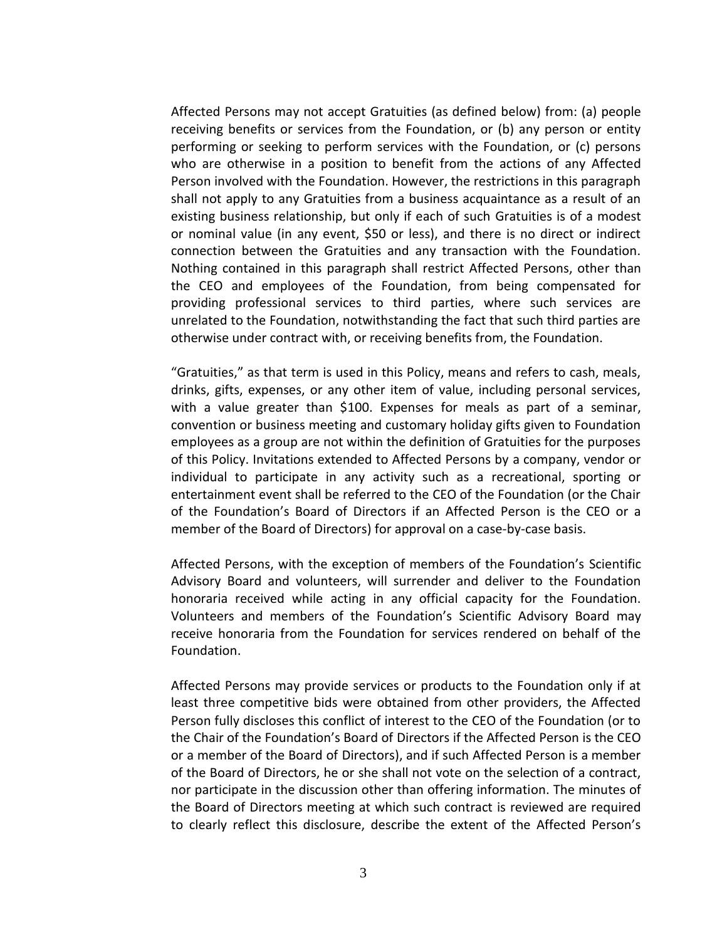Affected Persons may not accept Gratuities (as defined below) from: (a) people receiving benefits or services from the Foundation, or (b) any person or entity performing or seeking to perform services with the Foundation, or (c) persons who are otherwise in a position to benefit from the actions of any Affected Person involved with the Foundation. However, the restrictions in this paragraph shall not apply to any Gratuities from a business acquaintance as a result of an existing business relationship, but only if each of such Gratuities is of a modest or nominal value (in any event, \$50 or less), and there is no direct or indirect connection between the Gratuities and any transaction with the Foundation. Nothing contained in this paragraph shall restrict Affected Persons, other than the CEO and employees of the Foundation, from being compensated for providing professional services to third parties, where such services are unrelated to the Foundation, notwithstanding the fact that such third parties are otherwise under contract with, or receiving benefits from, the Foundation.

"Gratuities," as that term is used in this Policy, means and refers to cash, meals, drinks, gifts, expenses, or any other item of value, including personal services, with a value greater than \$100. Expenses for meals as part of a seminar, convention or business meeting and customary holiday gifts given to Foundation employees as a group are not within the definition of Gratuities for the purposes of this Policy. Invitations extended to Affected Persons by a company, vendor or individual to participate in any activity such as a recreational, sporting or entertainment event shall be referred to the CEO of the Foundation (or the Chair of the Foundation's Board of Directors if an Affected Person is the CEO or a member of the Board of Directors) for approval on a case-by-case basis.

Affected Persons, with the exception of members of the Foundation's Scientific Advisory Board and volunteers, will surrender and deliver to the Foundation honoraria received while acting in any official capacity for the Foundation. Volunteers and members of the Foundation's Scientific Advisory Board may receive honoraria from the Foundation for services rendered on behalf of the Foundation.

Affected Persons may provide services or products to the Foundation only if at least three competitive bids were obtained from other providers, the Affected Person fully discloses this conflict of interest to the CEO of the Foundation (or to the Chair of the Foundation's Board of Directors if the Affected Person is the CEO or a member of the Board of Directors), and if such Affected Person is a member of the Board of Directors, he or she shall not vote on the selection of a contract, nor participate in the discussion other than offering information. The minutes of the Board of Directors meeting at which such contract is reviewed are required to clearly reflect this disclosure, describe the extent of the Affected Person's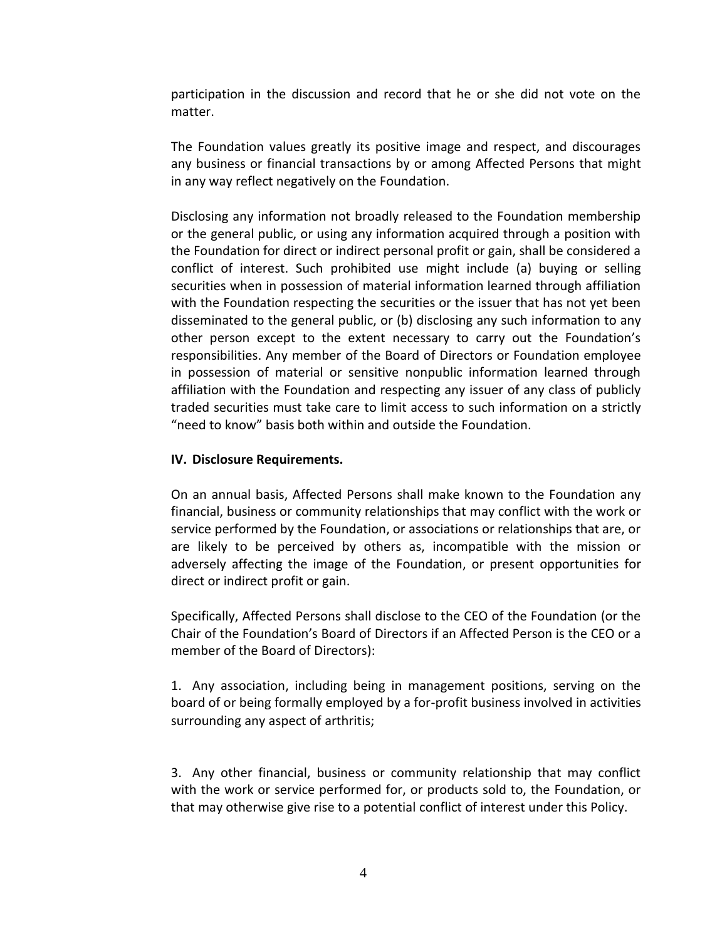participation in the discussion and record that he or she did not vote on the matter.

The Foundation values greatly its positive image and respect, and discourages any business or financial transactions by or among Affected Persons that might in any way reflect negatively on the Foundation.

Disclosing any information not broadly released to the Foundation membership or the general public, or using any information acquired through a position with the Foundation for direct or indirect personal profit or gain, shall be considered a conflict of interest. Such prohibited use might include (a) buying or selling securities when in possession of material information learned through affiliation with the Foundation respecting the securities or the issuer that has not yet been disseminated to the general public, or (b) disclosing any such information to any other person except to the extent necessary to carry out the Foundation's responsibilities. Any member of the Board of Directors or Foundation employee in possession of material or sensitive nonpublic information learned through affiliation with the Foundation and respecting any issuer of any class of publicly traded securities must take care to limit access to such information on a strictly "need to know" basis both within and outside the Foundation.

### **IV. Disclosure Requirements.**

On an annual basis, Affected Persons shall make known to the Foundation any financial, business or community relationships that may conflict with the work or service performed by the Foundation, or associations or relationships that are, or are likely to be perceived by others as, incompatible with the mission or adversely affecting the image of the Foundation, or present opportunities for direct or indirect profit or gain.

Specifically, Affected Persons shall disclose to the CEO of the Foundation (or the Chair of the Foundation's Board of Directors if an Affected Person is the CEO or a member of the Board of Directors):

1. Any association, including being in management positions, serving on the board of or being formally employed by a for-profit business involved in activities surrounding any aspect of arthritis;

3. Any other financial, business or community relationship that may conflict with the work or service performed for, or products sold to, the Foundation, or that may otherwise give rise to a potential conflict of interest under this Policy.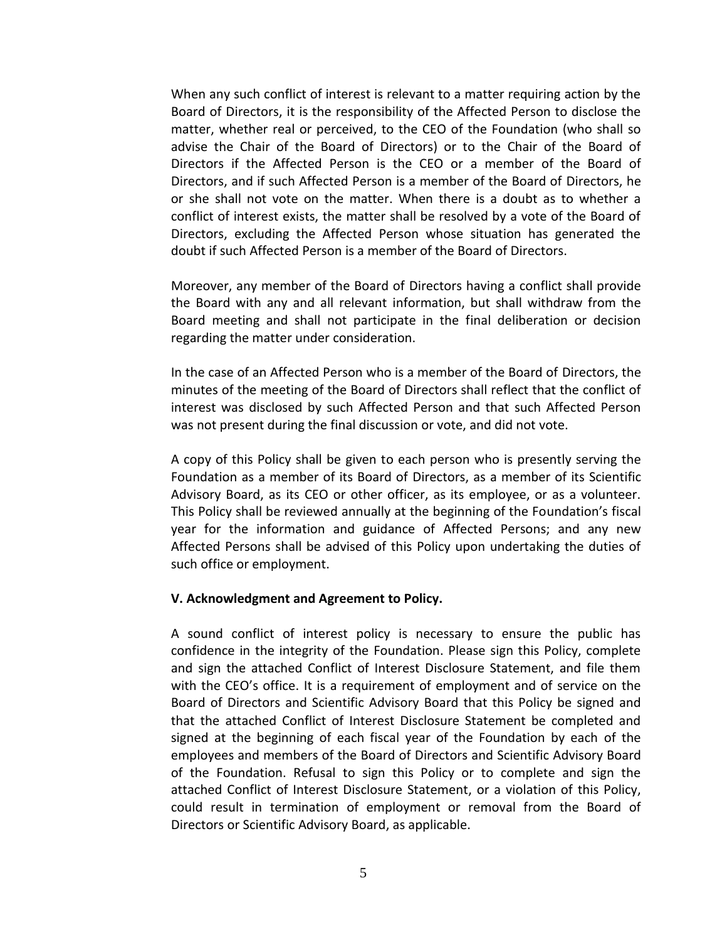When any such conflict of interest is relevant to a matter requiring action by the Board of Directors, it is the responsibility of the Affected Person to disclose the matter, whether real or perceived, to the CEO of the Foundation (who shall so advise the Chair of the Board of Directors) or to the Chair of the Board of Directors if the Affected Person is the CEO or a member of the Board of Directors, and if such Affected Person is a member of the Board of Directors, he or she shall not vote on the matter. When there is a doubt as to whether a conflict of interest exists, the matter shall be resolved by a vote of the Board of Directors, excluding the Affected Person whose situation has generated the doubt if such Affected Person is a member of the Board of Directors.

Moreover, any member of the Board of Directors having a conflict shall provide the Board with any and all relevant information, but shall withdraw from the Board meeting and shall not participate in the final deliberation or decision regarding the matter under consideration.

In the case of an Affected Person who is a member of the Board of Directors, the minutes of the meeting of the Board of Directors shall reflect that the conflict of interest was disclosed by such Affected Person and that such Affected Person was not present during the final discussion or vote, and did not vote.

A copy of this Policy shall be given to each person who is presently serving the Foundation as a member of its Board of Directors, as a member of its Scientific Advisory Board, as its CEO or other officer, as its employee, or as a volunteer. This Policy shall be reviewed annually at the beginning of the Foundation's fiscal year for the information and guidance of Affected Persons; and any new Affected Persons shall be advised of this Policy upon undertaking the duties of such office or employment.

#### **V. Acknowledgment and Agreement to Policy.**

A sound conflict of interest policy is necessary to ensure the public has confidence in the integrity of the Foundation. Please sign this Policy, complete and sign the attached Conflict of Interest Disclosure Statement, and file them with the CEO's office. It is a requirement of employment and of service on the Board of Directors and Scientific Advisory Board that this Policy be signed and that the attached Conflict of Interest Disclosure Statement be completed and signed at the beginning of each fiscal year of the Foundation by each of the employees and members of the Board of Directors and Scientific Advisory Board of the Foundation. Refusal to sign this Policy or to complete and sign the attached Conflict of Interest Disclosure Statement, or a violation of this Policy, could result in termination of employment or removal from the Board of Directors or Scientific Advisory Board, as applicable.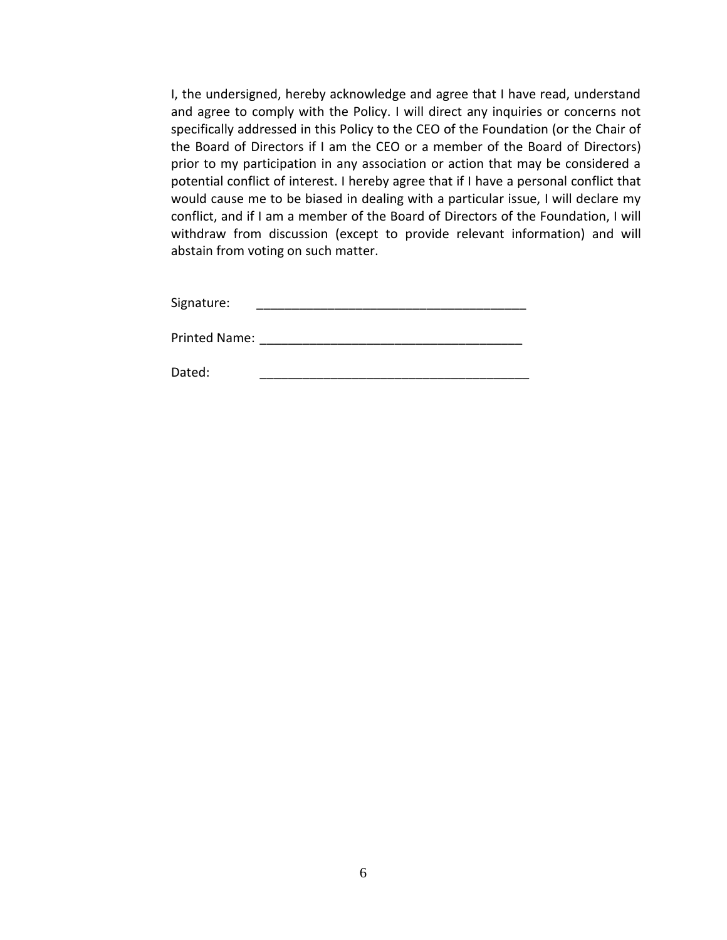I, the undersigned, hereby acknowledge and agree that I have read, understand and agree to comply with the Policy. I will direct any inquiries or concerns not specifically addressed in this Policy to the CEO of the Foundation (or the Chair of the Board of Directors if I am the CEO or a member of the Board of Directors) prior to my participation in any association or action that may be considered a potential conflict of interest. I hereby agree that if I have a personal conflict that would cause me to be biased in dealing with a particular issue, I will declare my conflict, and if I am a member of the Board of Directors of the Foundation, I will withdraw from discussion (except to provide relevant information) and will abstain from voting on such matter.

Signature: \_\_\_\_\_\_\_\_\_\_\_\_\_\_\_\_\_\_\_\_\_\_\_\_\_\_\_\_\_\_\_\_\_\_\_\_\_\_

Printed Name: \_\_\_\_\_\_\_\_\_\_\_\_\_\_\_\_\_\_\_\_\_\_\_\_\_\_\_\_\_\_\_\_\_\_\_\_\_

Dated: \_\_\_\_\_\_\_\_\_\_\_\_\_\_\_\_\_\_\_\_\_\_\_\_\_\_\_\_\_\_\_\_\_\_\_\_\_\_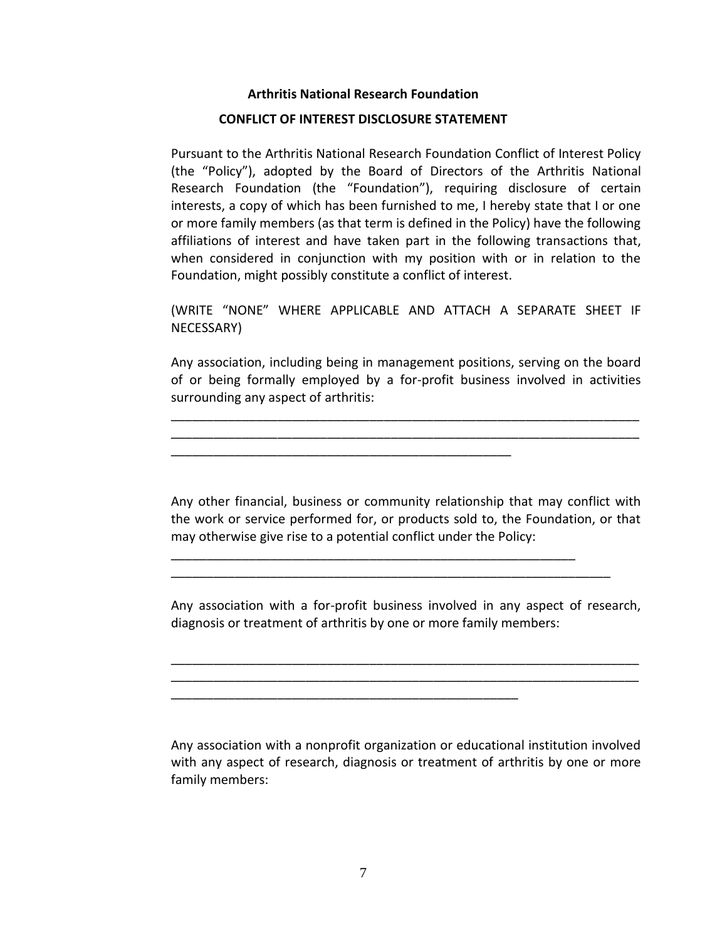#### **Arthritis National Research Foundation**

#### **CONFLICT OF INTEREST DISCLOSURE STATEMENT**

Pursuant to the Arthritis National Research Foundation Conflict of Interest Policy (the "Policy"), adopted by the Board of Directors of the Arthritis National Research Foundation (the "Foundation"), requiring disclosure of certain interests, a copy of which has been furnished to me, I hereby state that I or one or more family members (as that term is defined in the Policy) have the following affiliations of interest and have taken part in the following transactions that, when considered in conjunction with my position with or in relation to the Foundation, might possibly constitute a conflict of interest.

(WRITE "NONE" WHERE APPLICABLE AND ATTACH A SEPARATE SHEET IF NECESSARY)

Any association, including being in management positions, serving on the board of or being formally employed by a for-profit business involved in activities surrounding any aspect of arthritis:

\_\_\_\_\_\_\_\_\_\_\_\_\_\_\_\_\_\_\_\_\_\_\_\_\_\_\_\_\_\_\_\_\_\_\_\_\_\_\_\_\_\_\_\_\_\_\_\_\_\_\_\_\_\_\_\_\_\_\_\_\_\_\_\_\_\_ \_\_\_\_\_\_\_\_\_\_\_\_\_\_\_\_\_\_\_\_\_\_\_\_\_\_\_\_\_\_\_\_\_\_\_\_\_\_\_\_\_\_\_\_\_\_\_\_\_\_\_\_\_\_\_\_\_\_\_\_\_\_\_\_\_\_

\_\_\_\_\_\_\_\_\_\_\_\_\_\_\_\_\_\_\_\_\_\_\_\_\_\_\_\_\_\_\_\_\_\_\_\_\_\_\_\_\_\_\_\_\_\_\_\_

\_\_\_\_\_\_\_\_\_\_\_\_\_\_\_\_\_\_\_\_\_\_\_\_\_\_\_\_\_\_\_\_\_\_\_\_\_\_\_\_\_\_\_\_\_\_\_\_\_

Any other financial, business or community relationship that may conflict with the work or service performed for, or products sold to, the Foundation, or that may otherwise give rise to a potential conflict under the Policy:

\_\_\_\_\_\_\_\_\_\_\_\_\_\_\_\_\_\_\_\_\_\_\_\_\_\_\_\_\_\_\_\_\_\_\_\_\_\_\_\_\_\_\_\_\_\_\_\_\_\_\_\_\_\_\_\_\_

\_\_\_\_\_\_\_\_\_\_\_\_\_\_\_\_\_\_\_\_\_\_\_\_\_\_\_\_\_\_\_\_\_\_\_\_\_\_\_\_\_\_\_\_\_\_\_\_\_\_\_\_\_\_\_\_\_\_\_\_\_\_

Any association with a for-profit business involved in any aspect of research, diagnosis or treatment of arthritis by one or more family members:

\_\_\_\_\_\_\_\_\_\_\_\_\_\_\_\_\_\_\_\_\_\_\_\_\_\_\_\_\_\_\_\_\_\_\_\_\_\_\_\_\_\_\_\_\_\_\_\_\_\_\_\_\_\_\_\_\_\_\_\_\_\_\_\_\_\_ \_\_\_\_\_\_\_\_\_\_\_\_\_\_\_\_\_\_\_\_\_\_\_\_\_\_\_\_\_\_\_\_\_\_\_\_\_\_\_\_\_\_\_\_\_\_\_\_\_\_\_\_\_\_\_\_\_\_\_\_\_\_\_\_\_\_

Any association with a nonprofit organization or educational institution involved with any aspect of research, diagnosis or treatment of arthritis by one or more family members: